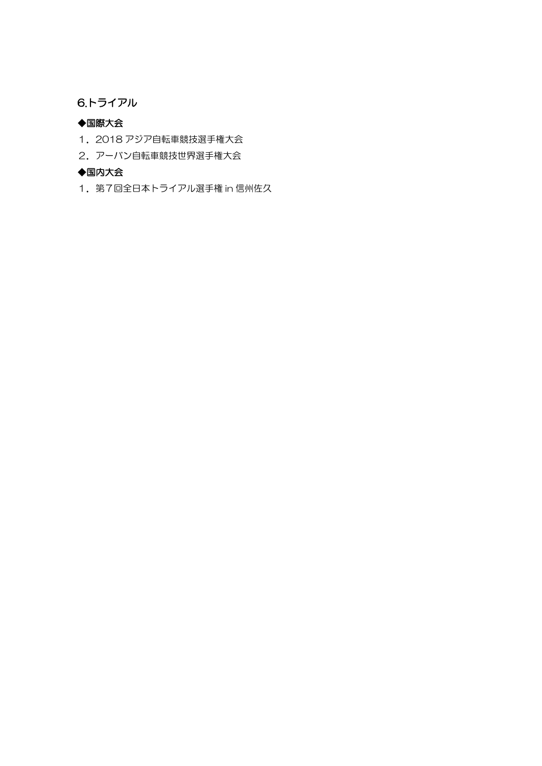#### 6.トライアル

#### ◆国際大会

- 1.2018 アジア自転車競技選手権大会
- 2. アーバン自転車競技世界選手権大会

#### ◆国内大会

1.第7回全日本トライアル選手権 in 信州佐久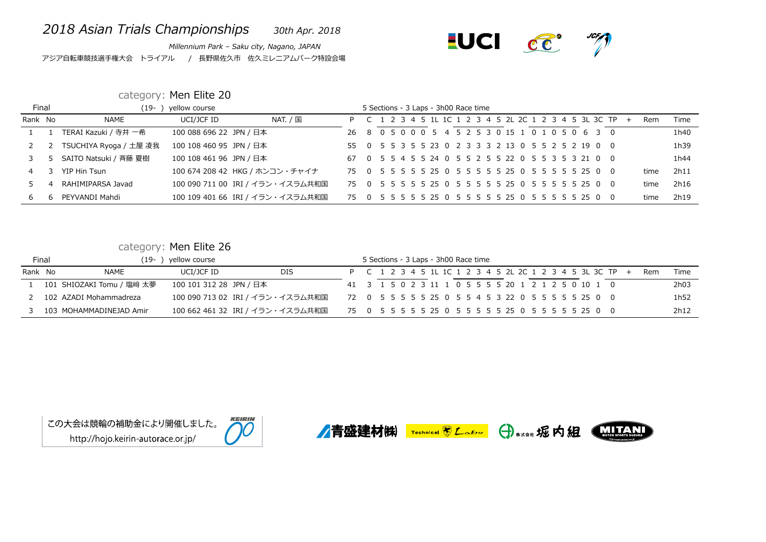## *2018 Asian Trials Championships 30th Apr. 2018*

*Millennium Park – Saku city, Nagano, JAPAN* アジア自転車競技選手権大会 トライアル / 長野県佐久市 佐久ミレニアムパーク特設会場



## category: Men Elite 20

| <b>Final</b> |   | (19- )                 | yellow course           |                                  |                                                     |  |  | 5 Sections - 3 Laps - 3h00 Race time |  |  |  |  |  |                                                        |     |      |      |
|--------------|---|------------------------|-------------------------|----------------------------------|-----------------------------------------------------|--|--|--------------------------------------|--|--|--|--|--|--------------------------------------------------------|-----|------|------|
| Rank No      |   | NAME                   | UCI/JCF ID              | NAT. / 国                         |                                                     |  |  |                                      |  |  |  |  |  | P C 1 2 3 4 5 1L 1C 1 2 3 4 5 2L 2C 1 2 3 4 5 3L 3C TP | $+$ | Rem  | Time |
|              |   | TERAI Kazuki / 寺井 一希   | 100 088 696 22 JPN / 日本 |                                  | 26 8 0 5 0 0 0 5 4 5 2 5 3 0 15 1 0 1 0 5 0 6 3 0   |  |  |                                      |  |  |  |  |  |                                                        |     |      | 1h40 |
|              |   | TSUCHIYA Ryoga / 土屋 凌我 | 100 108 460 95 JPN / 日本 |                                  | 55 0 5 5 3 5 5 23 0 2 3 3 3 2 13 0 5 5 2 5 2 19 0 0 |  |  |                                      |  |  |  |  |  |                                                        |     |      | 1h39 |
|              |   | SAITO Natsuki / 斉藤 夏樹  | 100 108 461 96 JPN / 日本 |                                  | 67 0 5 5 4 5 5 24 0 5 5 2 5 5 22 0 5 5 3 5 3 21 0 0 |  |  |                                      |  |  |  |  |  |                                                        |     |      | 1h44 |
|              |   | YIP Hin Tsun           |                         | 100 674 208 42 HKG / ホンコン・チャイナ   |                                                     |  |  |                                      |  |  |  |  |  |                                                        |     | time | 2h11 |
|              |   | RAHIMIPARSA Javad      |                         | 100 090 711 00 IRI / イラン・イスラム共和国 |                                                     |  |  |                                      |  |  |  |  |  |                                                        |     | time | 2h16 |
| 6            | 6 | PEYVANDI Mahdi         |                         | 100 109 401 66 IRI / イラン・イスラム共和国 |                                                     |  |  |                                      |  |  |  |  |  |                                                        |     | time | 2h19 |

## category: Men Elite 26

|         | Final | $19-$                     | yellow course           |                                  |  |  | 5 Sections - 3 Laps - 3h00 Race time |  |  |  |  |                                                     |                                                          |     |      |
|---------|-------|---------------------------|-------------------------|----------------------------------|--|--|--------------------------------------|--|--|--|--|-----------------------------------------------------|----------------------------------------------------------|-----|------|
| Rank No |       | <b>NAME</b>               | UCI/JCF ID              | <b>DIS</b>                       |  |  |                                      |  |  |  |  |                                                     | P C 1 2 3 4 5 1L 1C 1 2 3 4 5 2L 2C 1 2 3 4 5 3L 3C TP + | Rem | Time |
|         |       | 101 SHIOZAKI Tomu / 塩﨑 太夢 | 100 101 312 28 JPN / 日本 |                                  |  |  |                                      |  |  |  |  | 41 3 1 5 0 2 3 11 1 0 5 5 5 5 20 1 2 1 2 5 0 10 1 0 |                                                          |     | 2h03 |
|         |       | 102 AZADI Mohammadreza    |                         | 100 090 713 02 IRI / イラン・イスラム共和国 |  |  |                                      |  |  |  |  |                                                     |                                                          |     | 1h52 |
|         |       | 103 MOHAMMADINEJAD Amir   |                         | 100 662 461 32 IRI / イラン・イスラム共和国 |  |  |                                      |  |  |  |  |                                                     |                                                          |     | 2h12 |

この大会は競輪の補助金により開催しました。 http://hojo.keirin-autorace.or.jp/

**KEIRIN** 







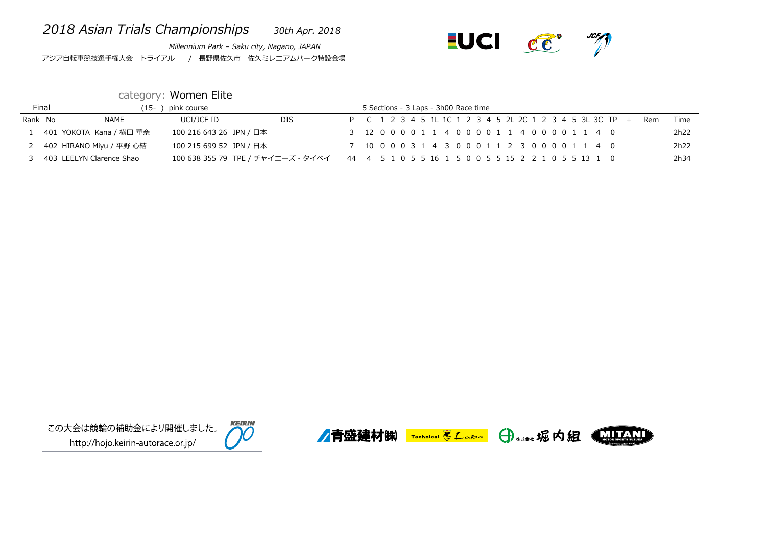## *2018 Asian Trials Championships 30th Apr. 2018*

*Millennium Park – Saku city, Nagano, JAPAN* アジア自転車競技選手権大会 トライアル / 長野県佐久市 佐久ミレニアムパーク特設会場



## category: Women Elite

|         | Final | -15                      | pink course             |                                                                                      |  |  |  | 5 Sections - 3 Laps - 3h00 Race time |  |                                                        |  |  |  |  |            |      |
|---------|-------|--------------------------|-------------------------|--------------------------------------------------------------------------------------|--|--|--|--------------------------------------|--|--------------------------------------------------------|--|--|--|--|------------|------|
| Rank No |       | <b>NAME</b>              | UCI/JCF ID              | <b>DIS</b>                                                                           |  |  |  |                                      |  | P C 1 2 3 4 5 1L 1C 1 2 3 4 5 2L 2C 1 2 3 4 5 3L 3C TP |  |  |  |  | <b>Rem</b> | Time |
|         |       | 401 YOKOTA Kana / 横田 華奈  | 100 216 643 26 JPN / 日本 |                                                                                      |  |  |  |                                      |  | 3 12 0 0 0 0 1 1 4 0 0 0 0 1 1 4 0 0 0 0 1 1 4 0       |  |  |  |  |            | 2h22 |
|         |       | 402 HIRANO Miyu / 平野 心結  | 100 215 699 52 JPN / 日本 |                                                                                      |  |  |  |                                      |  | 7 10 0 0 0 3 1 4 3 0 0 0 1 1 2 3 0 0 0 0 1 1 4 0       |  |  |  |  |            | 2h22 |
|         |       | 403 LEELYN Clarence Shao |                         | 100 638 355 79 TPE / チャイニーズ・タイペイ 44 4 5 1 0 5 5 16 1 5 0 0 5 5 15 2 2 1 0 5 5 13 1 0 |  |  |  |                                      |  |                                                        |  |  |  |  |            | 2h34 |









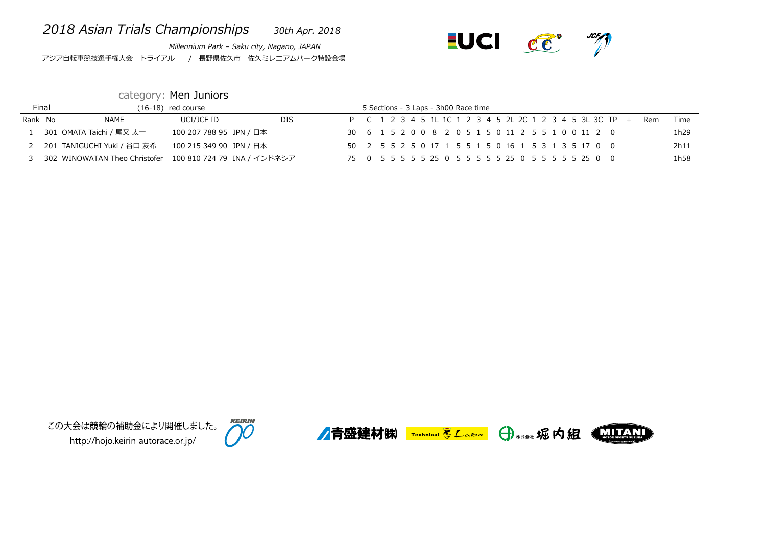## *2018 Asian Trials Championships 30th Apr. 2018*

*Millennium Park – Saku city, Nagano, JAPAN* アジア自転車競技選手権大会 トライアル / 長野県佐久市 佐久ミレニアムパーク特設会場



## category: Men Juniors

|         | Final |                                                           | $(16-18)$ red course    |            |  |  | 5 Sections - 3 Laps - 3h00 Race time |  |  |  |  |                                                     |                                                          |     |      |
|---------|-------|-----------------------------------------------------------|-------------------------|------------|--|--|--------------------------------------|--|--|--|--|-----------------------------------------------------|----------------------------------------------------------|-----|------|
| Rank No |       | <b>NAME</b>                                               | UCI/JCF ID              | <b>DIS</b> |  |  |                                      |  |  |  |  |                                                     | P C 1 2 3 4 5 1L 1C 1 2 3 4 5 2L 2C 1 2 3 4 5 3L 3C TP + | Rem | Time |
|         |       | 301 OMATA Taichi / 尾又 太一                                  | 100 207 788 95 JPN / 日本 |            |  |  |                                      |  |  |  |  | 30 6 1 5 2 0 0 8 2 0 5 1 5 0 11 2 5 5 1 0 0 11 2 0  |                                                          |     | 1h29 |
|         |       | 201 TANIGUCHI Yuki / 谷口 友希                                | 100 215 349 90 JPN / 日本 |            |  |  |                                      |  |  |  |  | 50 2 5 5 2 5 0 17 1 5 5 1 5 0 16 1 5 3 1 3 5 17 0 0 |                                                          |     | 2h11 |
|         |       | 302 WINOWATAN Theo Christofer 100 810 724 79 INA / インドネシア |                         |            |  |  |                                      |  |  |  |  |                                                     |                                                          |     | 1h58 |









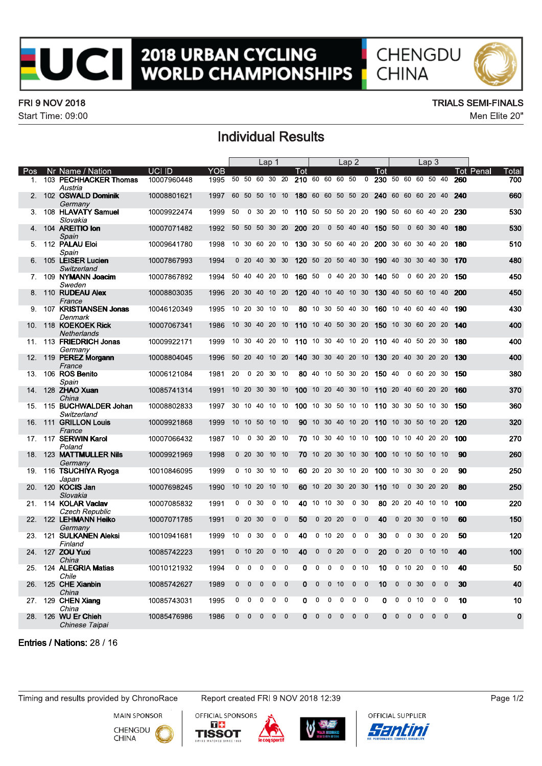

# **2018 URBAN CYCLING<br>WORLD CHAMPIONSHIPS**



#### **FRI 9 NOV 2018**

Start Time: 09:00

#### **TRIALS SEMI-FINALS**

Men Elite 20"

### **Individual Results**

|                |                                               |             |      |                 |              |                | Lap 1        |                 |                    |              |                   |                 | Lap2         |                 |                                                  |              |                 |                 | Lap <sub>3</sub> |                 |             |           |          |
|----------------|-----------------------------------------------|-------------|------|-----------------|--------------|----------------|--------------|-----------------|--------------------|--------------|-------------------|-----------------|--------------|-----------------|--------------------------------------------------|--------------|-----------------|-----------------|------------------|-----------------|-------------|-----------|----------|
| Pos            | Nr Name / Nation                              | UCI ID      | YOB  |                 |              |                |              |                 | l ot               |              |                   |                 |              |                 | Tot                                              |              |                 |                 |                  |                 |             | Tot Penal | Total    |
| 1 <sub>1</sub> | 103 PECHHACKER Thomas<br>Austria              | 10007960448 | 1995 |                 |              |                |              | 50 50 60 30 20  | 210 60 60 60 50 0  |              |                   |                 |              |                 | 230 50 60 60 50 40                               |              |                 |                 |                  |                 | 260         |           | 700      |
|                | 2. 102 OSWALD Dominik<br>Germany              | 10008801621 | 1997 |                 |              | 60 50 50 10 10 |              |                 | 180 60 60 50 50 20 |              |                   |                 |              |                 | 240 60 60 60 20 40                               |              |                 |                 |                  |                 | 240         |           | 660      |
|                | 3. 108 HLAVATY Samuel<br>Slovakia             | 10009922474 | 1999 | 50              |              |                |              |                 |                    |              |                   |                 |              |                 | 0 30 20 10 110 50 50 50 20 20 190 50 60 60 40 20 |              |                 |                 |                  |                 | 230         |           | 530      |
|                | 4. 104 AREITIO Ion<br>Spain                   | 10007071482 | 1992 |                 |              | 50 50 50 30 20 |              |                 | 200 20             |              |                   | 0 50 40 40      |              |                 | 150 50                                           |              |                 |                 | 0 60 30 40       |                 | 180         |           | 530      |
| 5.             | 112 PALAU Eloi                                | 10009641780 | 1998 |                 |              | 10 30 60 20 10 |              |                 |                    |              |                   |                 |              |                 | 130 30 50 60 40 20 200 30 60 30 40 20            |              |                 |                 |                  |                 | 180         |           | 510      |
|                | Spain<br>6. 105 LEISER Lucien                 | 10007867993 | 1994 |                 |              | 0 20 40 30 30  |              |                 | 120 50 20 50 40 30 |              |                   |                 |              |                 | 190 40 30 30 40 30                               |              |                 |                 |                  |                 | 170         |           | 480      |
|                | Switzerland<br>7. 109 NYMANN Joacim           | 10007867892 | 1994 |                 |              | 50 40 40 20 10 |              |                 | 160 50             |              |                   | 0 40 20 30      |              |                 | 140 50                                           |              |                 |                 | 0 60 20 20       |                 | 150         |           | 450      |
|                | Sweden<br>8. 110 RUDEAU Alex                  | 10008803035 | 1996 |                 |              | 20 30 40 10 20 |              |                 | 120 40 10 40 10 30 |              |                   |                 |              |                 | 130 40 50 60 10 40                               |              |                 |                 |                  |                 | 200         |           | 450      |
| 9.             | France<br>107 KRISTIANSEN Jonas               | 10046120349 | 1995 |                 |              | 10 20 30 10 10 |              |                 |                    |              | 80 10 30 50 40 30 |                 |              |                 | 160 10 40 60 40 40                               |              |                 |                 |                  |                 | 190         |           | 430      |
| 10.            | Denmark<br>118 KOEKOEK Rick                   | 10007067341 | 1986 |                 |              | 10 30 40 20 10 |              |                 | 110 10 40 50 30 20 |              |                   |                 |              |                 | <b>150</b> 10 30 60 20 20                        |              |                 |                 |                  |                 | 140         |           | 400      |
|                | <b>Netherlands</b><br>11. 113 FRIEDRICH Jonas | 10009922171 | 1999 |                 |              | 10 30 40 20 10 |              |                 | 110 10 30 40 10 20 |              |                   |                 |              |                 | 110 40 40 50 20 30                               |              |                 |                 |                  |                 | 180         |           | 400      |
| 12.            | Germany<br>119 PEREZ Morgann                  | 10008804045 | 1996 |                 | 50 20 40     |                | 10 20        |                 | 140 30 30 40 20 10 |              |                   |                 |              |                 | 130 20 40 30 20 20                               |              |                 |                 |                  |                 | 130         |           | 400      |
|                | France<br>13. 106 <b>ROS Benito</b><br>Spain  | 10006121084 | 1981 | 20              |              | 0, 20, 30, 10  |              |                 |                    |              | 80 40 10 50 30 20 |                 |              |                 | 150 40                                           |              |                 |                 | 0 60 20 30       |                 | 150         |           | 380      |
| 14.            | 128 ZHAO Xuan<br>China                        | 10085741314 | 1991 |                 |              | 10 20 30 30 10 |              |                 | 100 10 20 40 30 10 |              |                   |                 |              |                 | 110 20 40 60 20 20                               |              |                 |                 |                  |                 | 160         |           | 370      |
|                | 15. 115 BUCHWALDER Johan<br>Switzerland       | 10008802833 | 1997 |                 |              | 30 10 40 10 10 |              |                 |                    |              |                   |                 |              |                 | 100 10 30 50 10 10 110 30 30 50 10 30            |              |                 |                 |                  |                 | 150         |           | 360      |
| 16.            | 111 GRILLON Louis<br>France                   | 10009921868 | 1999 | 10 <sup>°</sup> |              | 10 50          | 10 10        |                 |                    |              | 90 10 30 40 10 20 |                 |              |                 | 110 10 30 50 10 20                               |              |                 |                 |                  |                 | 120         |           | 320      |
|                | 17. 117 SERWIN Karol<br>Poland                | 10007066432 | 1987 | 10              |              | 0 30 20 10     |              |                 |                    |              |                   |                 |              |                 | 70 10 30 40 10 10 100 10 10 40 20 20             |              |                 |                 |                  |                 | 100         |           | 270      |
|                | 18. 123 MATTMULLER Nils<br>Germany            | 10009921969 | 1998 |                 | $0\,20\,30$  |                | 10 10        |                 |                    |              | 70 10 20 30 10 30 |                 |              |                 | 100 10 10 50                                     |              |                 |                 | 10 10            |                 | 90          |           | 260      |
| 19.            | 116 TSUCHIYA Ryoga<br>Japan                   | 10010846095 | 1999 |                 |              | 0 10 30 10 10  |              |                 |                    |              | 60 20 20 30 10 20 |                 |              |                 | 100 10 30 30                                     |              |                 |                 |                  | 0 <sub>20</sub> | 90          |           | 250      |
| 20.            | 120 KOCIS Jan<br>Slovakia                     | 10007698245 | 1990 |                 | 10 10        | 20             | 10 10        |                 |                    |              | 60 10 20 30 20 30 |                 |              |                 | 110 10                                           |              |                 | 0 <sub>30</sub> | 20 20            |                 | 80          |           | 250      |
|                | 21. 114 KOLAR Vaclav<br>Czech Republic        | 10007085832 | 1991 | $\mathbf 0$     | $\mathbf 0$  | 30             |              | 0 <sub>10</sub> |                    |              | 40 10 10 30       |                 |              | 0 <sub>30</sub> | 80 20 20 40                                      |              |                 |                 | 10 10            |                 | 100         |           | 220      |
|                | 22. 122 LEHMANN Heiko<br>Germany              | 10007071785 | 1991 |                 | $0\quad20$   | 30             | $\mathbf{0}$ | $\overline{0}$  | 50                 |              | 02020             |                 | $\mathbf{0}$ | $\overline{0}$  | 40                                               |              | 02030           |                 |                  | 0 <sub>10</sub> | 60          |           | 150      |
| 23.            | 121 SULKANEN Aleksi<br>Finland                | 10010941681 | 1999 | 10              | 0            | 30             | $\mathbf 0$  | $\mathbf 0$     | 40                 | $\mathbf{0}$ | 10 20             |                 | $\mathbf 0$  | $\mathbf 0$     | 30                                               | 0            |                 | 0 <sub>30</sub> |                  | 0 <sub>20</sub> | 50          |           | 120      |
| 24.            | 127 ZOU Yuxi<br>China                         | 10085742223 | 1991 |                 | $0$ 10 20    |                |              | $0$ 10          | 40                 | $\mathbf{0}$ |                   | 0 <sub>20</sub> | $\mathbf 0$  | $\overline{0}$  | 20                                               |              | 0 <sub>20</sub> |                 | $0$ 10 10        |                 | 40          |           | 100      |
| 25.            | 124 ALEGRIA Matias<br>Chile                   | 10010121932 | 1994 | $\mathbf{0}$    | $\mathbf{0}$ | $\mathbf{0}$   | $\mathbf{0}$ | $\mathbf{0}$    | $\Omega$           | $\mathbf{0}$ | $\mathbf 0$       | $\mathbf 0$     | $\Omega$     | 10              | 10                                               | $\mathbf 0$  |                 | 10 20           |                  | 0, 10           | 40          |           | 50       |
| 26.            | 125 CHE Xianbin<br>China                      | 10085742627 | 1989 | 0               | $\mathbf 0$  | 0              | $\mathbf 0$  | $\overline{0}$  | $\mathbf{0}$       | $\mathbf 0$  | $\mathbf 0$       | 10              | $\mathbf 0$  | $\mathbf 0$     | 10                                               | 0            |                 | 0 <sub>30</sub> | $\mathbf 0$      | $\mathbf 0$     | 30          |           | 40       |
|                | 27. 129 CHEN Xiang<br>China                   | 10085743031 | 1995 | 0               | $\mathbf 0$  | 0              | 0            | $\mathbf 0$     | $\Omega$           | $\mathbf 0$  | $\mathbf 0$       | $\mathbf 0$     | $\mathbf 0$  | $\Omega$        | 0                                                | $\mathbf 0$  |                 | $0$ 10          | 0                | $\mathbf 0$     | 10          |           | 10       |
| 28.            | 126 WU Er Chieh<br>Chinese Taipai             | 10085476986 | 1986 | $\mathbf 0$     | $\Omega$     | $\mathbf{0}$   | $\mathbf 0$  | $\overline{0}$  | $\Omega$           | $\mathbf{0}$ | $\mathbf{0}$      | $\mathbf 0$     | $\mathbf 0$  | $\mathbf{0}$    | $\Omega$                                         | $\mathbf{0}$ | $\mathbf{0}$    | $\Omega$        | $\Omega$         | $\Omega$        | $\mathbf 0$ |           | $\bf{0}$ |

Entries / Nations: 28 / 16

Timing and results provided by ChronoRace

**MAIN SPONSOR** 

CHENGDU

**CHINA** 

Report created FRI 9 NOV 2018 12:39







Page 1/2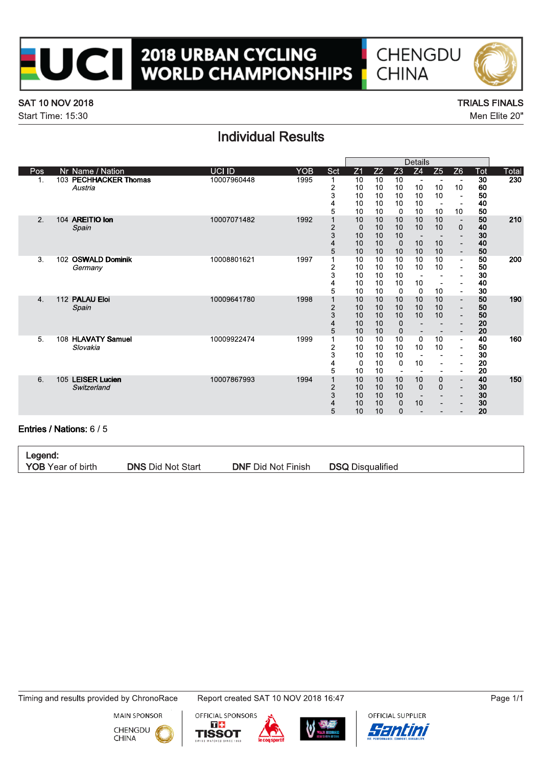

# **2018 URBAN CYCLING<br>WORLD CHAMPIONSHIPS**





#### **SAT 10 NOV 2018**

Start Time: 15:30

#### **TRIALS FINALS** Men Elite 20"

### **Individual Results**

| Pos<br>1.                | Nr Name / Nation<br>103 PECHHACKER Thomas<br>Austria<br>104 AREITIO Ion<br>Spain | <b>UCI ID</b><br>10007960448<br>10007071482 | <b>YOB</b><br>1995<br>1992 | Sct<br>$\mathbf{1}$<br>$\overline{\mathbf{c}}$<br>3<br>4<br>5 | Z <sub>1</sub><br>10<br>10<br>10<br>10<br>10 | Z <sub>2</sub><br>10<br>10<br>10<br>10<br>10 | Z <sub>3</sub><br>10<br>10<br>10<br>10 | Z <sub>4</sub><br>$\blacksquare$<br>10<br>10<br>10 | Z5<br>10<br>10<br>$\overline{\phantom{a}}$ | Z <sub>6</sub><br>10             | Tot<br>30<br>60<br>50<br>40 | Total<br>230 |
|--------------------------|----------------------------------------------------------------------------------|---------------------------------------------|----------------------------|---------------------------------------------------------------|----------------------------------------------|----------------------------------------------|----------------------------------------|----------------------------------------------------|--------------------------------------------|----------------------------------|-----------------------------|--------------|
|                          |                                                                                  |                                             |                            |                                                               |                                              |                                              |                                        |                                                    |                                            |                                  |                             |              |
|                          |                                                                                  |                                             |                            |                                                               |                                              |                                              |                                        |                                                    |                                            |                                  |                             |              |
|                          |                                                                                  |                                             |                            |                                                               |                                              |                                              |                                        |                                                    |                                            |                                  |                             |              |
|                          |                                                                                  |                                             |                            |                                                               |                                              |                                              |                                        |                                                    |                                            |                                  |                             |              |
|                          |                                                                                  |                                             |                            |                                                               |                                              |                                              |                                        |                                                    |                                            |                                  |                             |              |
|                          |                                                                                  |                                             |                            |                                                               |                                              |                                              | $\mathbf 0$                            | 10                                                 | 10                                         | 10                               | 50                          |              |
| 2.                       |                                                                                  |                                             |                            | 1<br>$\overline{c}$                                           | 10<br>$\mathbf 0$                            | 10<br>10                                     | 10<br>10                               | 10<br>10                                           | 10<br>10                                   | $\mathbf 0$                      | 50<br>40                    | 210          |
|                          |                                                                                  |                                             |                            | 3                                                             | 10                                           | 10                                           | 10                                     |                                                    |                                            |                                  | 30                          |              |
|                          |                                                                                  |                                             |                            | 4                                                             | 10                                           | 10                                           | $\bf 0$                                | 10                                                 | 10                                         |                                  | 40                          |              |
|                          |                                                                                  |                                             |                            | 5                                                             | 10                                           | 10                                           | 10                                     | 10                                                 | 10                                         | $\blacksquare$                   | 50                          |              |
| 3.                       | 102 OSWALD Dominik                                                               | 10008801621                                 | 1997                       | $\mathbf{1}$                                                  | 10                                           | 10                                           | 10                                     | 10                                                 | 10                                         | $\overline{\phantom{a}}$         | 50                          | 200          |
|                          | Germany                                                                          |                                             |                            | 2                                                             | 10                                           | 10                                           | 10                                     | 10                                                 | 10                                         |                                  | 50                          |              |
|                          |                                                                                  |                                             |                            | 3                                                             | 10                                           | 10                                           | 10                                     |                                                    | $\overline{\phantom{a}}$                   |                                  | 30                          |              |
|                          |                                                                                  |                                             |                            | 4                                                             | 10                                           | 10                                           | 10                                     | 10                                                 | $\blacksquare$                             |                                  | 40                          |              |
|                          |                                                                                  |                                             |                            | 5                                                             | 10                                           | 10                                           | $\mathbf 0$                            | $\mathbf 0$                                        | 10                                         | $\blacksquare$                   | 30                          |              |
| 4.                       | 112 PALAU Eloi                                                                   | 10009641780                                 | 1998                       | 1                                                             | 10                                           | 10                                           | 10                                     | 10                                                 | 10                                         | $\overline{\phantom{a}}$         | 50                          | 190          |
|                          | Spain                                                                            |                                             |                            | $\overline{c}$                                                | 10                                           | 10                                           | 10                                     | 10                                                 | 10                                         | $\overline{\phantom{a}}$         | 50                          |              |
|                          |                                                                                  |                                             |                            | 3                                                             | 10                                           | 10                                           | 10                                     | 10                                                 | 10                                         | $\blacksquare$                   | 50                          |              |
|                          |                                                                                  |                                             |                            | 4                                                             | 10                                           | 10                                           | $\boldsymbol{0}$                       |                                                    | $\blacksquare$                             | $\sim$                           | 20                          |              |
|                          |                                                                                  |                                             |                            | 5                                                             | 10                                           | 10                                           | $\mathbf 0$                            | $\overline{\phantom{a}}$                           | $\overline{\phantom{a}}$                   | $\overline{\phantom{a}}$         | 20                          |              |
| 5.                       | 108 HLAVATY Samuel                                                               | 10009922474                                 | 1999                       | 1                                                             | 10                                           | 10                                           | 10                                     | $\Omega$                                           | 10                                         | $\overline{\phantom{a}}$         | 40                          | 160          |
|                          | Slovakia                                                                         |                                             |                            | 2                                                             | 10                                           | 10                                           | 10                                     | 10                                                 | 10                                         |                                  | 50                          |              |
|                          |                                                                                  |                                             |                            | 3                                                             | 10                                           | 10                                           | 10                                     |                                                    | $\blacksquare$                             |                                  | 30                          |              |
|                          |                                                                                  |                                             |                            | 4                                                             | $\mathbf 0$                                  | 10                                           | 0                                      | 10                                                 | $\sim$                                     |                                  | 20                          |              |
|                          |                                                                                  |                                             |                            | 5<br>$\overline{1}$                                           | 10                                           | 10                                           | $\overline{\phantom{a}}$               |                                                    | $\overline{\phantom{a}}$                   | $\blacksquare$                   | 20                          |              |
| 6.                       | 105 LEISER Lucien<br>Switzerland                                                 | 10007867993                                 | 1994                       |                                                               | 10<br>10                                     | 10<br>10                                     | 10<br>10                               | 10<br>$\mathbf{0}$                                 | 0<br>$\mathbf{0}$                          | $\overline{\phantom{a}}$         | 40<br>30                    | 150          |
|                          |                                                                                  |                                             |                            | $\overline{\mathbf{c}}$<br>3                                  | 10                                           | 10                                           | 10                                     | $\sim$                                             | $\blacksquare$                             | $\blacksquare$<br>$\blacksquare$ | 30                          |              |
|                          |                                                                                  |                                             |                            | 4                                                             | 10                                           | 10                                           | $\pmb{0}$                              | 10                                                 | $\overline{\phantom{a}}$                   |                                  | 30                          |              |
|                          |                                                                                  |                                             |                            | 5                                                             | 10                                           | 10                                           | $\Omega$                               | $\qquad \qquad \blacksquare$                       | $\overline{\phantom{a}}$                   |                                  | 20                          |              |
|                          |                                                                                  |                                             |                            |                                                               |                                              |                                              |                                        |                                                    |                                            |                                  |                             |              |
| Entries / Nations: 6 / 5 |                                                                                  |                                             |                            |                                                               |                                              |                                              |                                        |                                                    |                                            |                                  |                             |              |

Legend: **YOB** Year of birth

**DNS Did Not Start** 

**DNF Did Not Finish** 

**DSQ Disqualified** 

Timing and results provided by ChronoRace

**MAIN SPONSOR** 







Report created SAT 10 NOV 2018 16:47



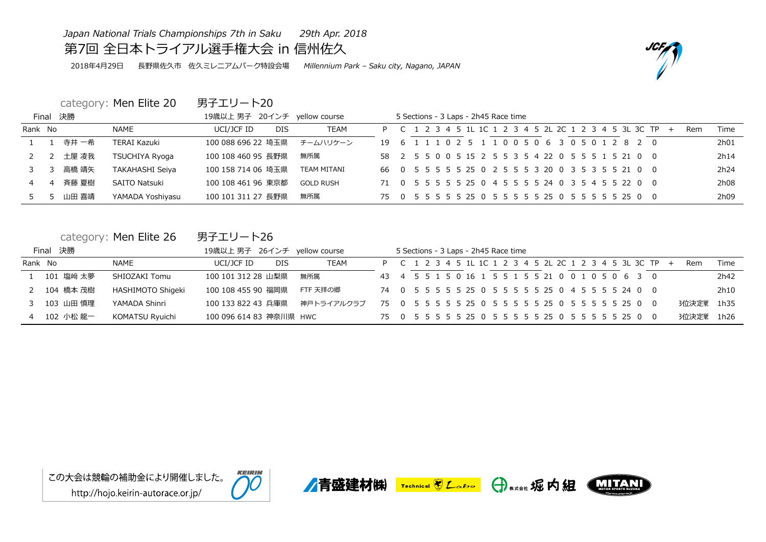*Japan National Trials Championships 7th in Saku 29th Apr. 2018*

第7回 全日本トライアル選手権大会 in 信州佐久

2018年4月29日 長野県佐久市 佐久ミレニアムパーク特設会場 *Millennium Park – Saku city, Nagano, JAPAN*

category: Men Elite 20 男子エリート20

|         | Final 決勝 |                        | 19歳以上 男子 20インチ yellow course |                    |                                                                                                |  |  | 5 Sections - 3 Laps - 2h45 Race time |  |  |  |  |  |  |                                                        |     |     |      |
|---------|----------|------------------------|------------------------------|--------------------|------------------------------------------------------------------------------------------------|--|--|--------------------------------------|--|--|--|--|--|--|--------------------------------------------------------|-----|-----|------|
| Rank No |          | NAME                   | UCI/JCF ID<br><b>DIS</b>     | <b>TEAM</b>        |                                                                                                |  |  |                                      |  |  |  |  |  |  | P C 1 2 3 4 5 1L 1C 1 2 3 4 5 2L 2C 1 2 3 4 5 3L 3C TP | $+$ | Rem | Time |
|         | 寺井 一希    | <b>TERAI Kazuki</b>    | 100 088 696 22 埼玉県           | チームハリケーン           | 19   6   1   1   1   0   2   5   1   1   0   0   5   0   6   3   0   5   0   1   2   8   2   0 |  |  |                                      |  |  |  |  |  |  |                                                        |     |     | 2h01 |
|         | 土屋 凌我    | <b>TSUCHIYA Ryoga</b>  | 100 108 460 95 長野県           | 無所属                | 58 2 5 5 0 0 5 15 2 5 5 3 5 4 22 0 5 5 5 1 5 21 0 0                                            |  |  |                                      |  |  |  |  |  |  |                                                        |     |     | 2h14 |
|         | 高橋 靖矢    | <b>TAKAHASHI Seiya</b> | 100 158 714 06 埼玉県           | <b>TEAM MITANI</b> | 66 0 5 5 5 5 5 25 0 2 5 5 5 3 20 0 3 5 3 5 5 21 0 0                                            |  |  |                                      |  |  |  |  |  |  |                                                        |     |     | 2h24 |
|         | 斉藤 夏樹    | <b>SAITO Natsuki</b>   | 100 108 461 96 東京都           | <b>GOLD RUSH</b>   | 71 0 5 5 5 5 5 25 0 4 5 5 5 5 24 0 3 5 4 5 5 22 0 0                                            |  |  |                                      |  |  |  |  |  |  |                                                        |     |     | 2h08 |
|         | 山田 喜靖    | YAMADA Yoshiyasu       | 100 101 311 27 長野県           | 無所属                |                                                                                                |  |  |                                      |  |  |  |  |  |  |                                                        |     |     | 2h09 |

|             | category: Men Elite 26 | 男子エリート26                     |            |  |  |  |                                      |  |  |  |  |                                                          |  |                        |      |
|-------------|------------------------|------------------------------|------------|--|--|--|--------------------------------------|--|--|--|--|----------------------------------------------------------|--|------------------------|------|
| Final 決勝    |                        | 19歳以上 男子 26インチ yellow course |            |  |  |  | 5 Sections - 3 Laps - 2h45 Race time |  |  |  |  |                                                          |  |                        |      |
| Rank No     | NAME                   | UCI/JCF ID<br><b>DIS</b>     | TEAM       |  |  |  |                                      |  |  |  |  | P C 1 2 3 4 5 1L 1C 1 2 3 4 5 2L 2C 1 2 3 4 5 3L 3C TP + |  | Rem                    | Time |
| 1 101 塩﨑 太夢 | SHIOZAKI Tomu          | 100 101 312 28 山梨県           | 無所属        |  |  |  |                                      |  |  |  |  | 43 4 5 5 1 5 0 16 1 5 5 1 5 5 21 0 0 1 0 5 0 6 3 0       |  |                        | 2h42 |
| 2 104 橋本 茂樹 | HASHIMOTO Shigeki      | 100 108 455 90 福岡県           | FTF 天拝の郷   |  |  |  |                                      |  |  |  |  | 74 0 5 5 5 5 5 25 0 5 5 5 5 5 25 0 4 5 5 5 5 24 0 0      |  |                        | 2h10 |
| 3 103 山田 慎理 | YAMADA Shinri          | 100 133 822 43 兵庫県           | 神戸トライアルクラブ |  |  |  |                                      |  |  |  |  |                                                          |  | 3位決定 <sup>単 1h35</sup> |      |
| 4 102 小松 龍一 | KOMATSU Ryuichi        | 100 096 614 83 神奈川県 HWC      |            |  |  |  |                                      |  |  |  |  |                                                          |  | 3位決定 <sup>単</sup> 1h26 |      |









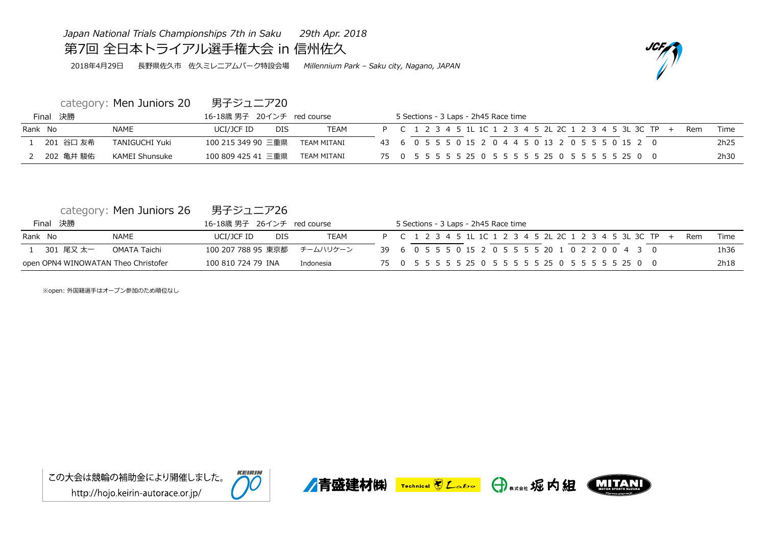*Japan National Trials Championships 7th in Saku 29th Apr. 2018*

## 第7回 全日本トライアル選手権大会 in 信州佐久

2018年4月29日 長野県佐久市 佐久ミレニアムパーク特設会場 *Millennium Park – Saku city, Nagano, JAPAN*

category: Men Juniors 20 男子ジュニア20

| Final 決勝  |                       | 16-18歳 男子 20インチ red course        | 5 Sections - 3 Laps - 2h45 Race time                                                                      |
|-----------|-----------------------|-----------------------------------|-----------------------------------------------------------------------------------------------------------|
| Rank No   | <b>NAME</b>           | DIS.<br>TEAM<br>UCI/JCF ID        | P C 1 2 3 4 5 1L 1C 1 2 3 4 5 2L 2C 1 2 3 4 5 3L 3C TP +<br>Time<br>Rem                                   |
| 201 谷口 友希 | <b>TANIGUCHI Yuki</b> | 100 215 349 90 三重県<br>TFAM MITANI | 2h25<br>43   6   0   5   5   5   0   15   2   0   4   4   5   0   13   2   0   5   5   5   0   15   2   0 |
| 202 亀井 駿佑 | KAMEI Shunsuke        | 100 809 425 41 三重県<br>TFAM MITANI | 2h30                                                                                                      |

| category: Men Juniors 26 | 男子ジュニア26 |
|--------------------------|----------|
|--------------------------|----------|

|         | Final 決勝                            |              | 16-18歳 男子 26インチ red course |            |             | 5 Sections - 3 Laps - 2h45 Race time                                                             |      |
|---------|-------------------------------------|--------------|----------------------------|------------|-------------|--------------------------------------------------------------------------------------------------|------|
| Rank No |                                     | <b>NAME</b>  | UCI/JCF ID                 | <b>DIS</b> | <b>TEAM</b> | P C 1 2 3 4 5 1L 1C 1 2 3 4 5 2L 2C 1 2 3 4 5 3L 3C TP +<br>Rem                                  | Time |
|         | 301 尾又 太一                           | OMATA Taichi | 100 207 788 95 東京都         |            | チームハリケーン    | 39   6   0   5   5   5   0   15   2   0   5   5   5   5   20   1   0   2   2   0   0   4   3   0 | 1h36 |
|         | open OPN4 WINOWATAN Theo Christofer |              | 100 810 724 79 INA         |            | Indonesia   | 75  0  5  5  5  5  25  0  5  5  5  5  25  0  5  5  5  5  25  0  0                                | 2h18 |

※open: 外国籍選手はオープン参加のため順位なし









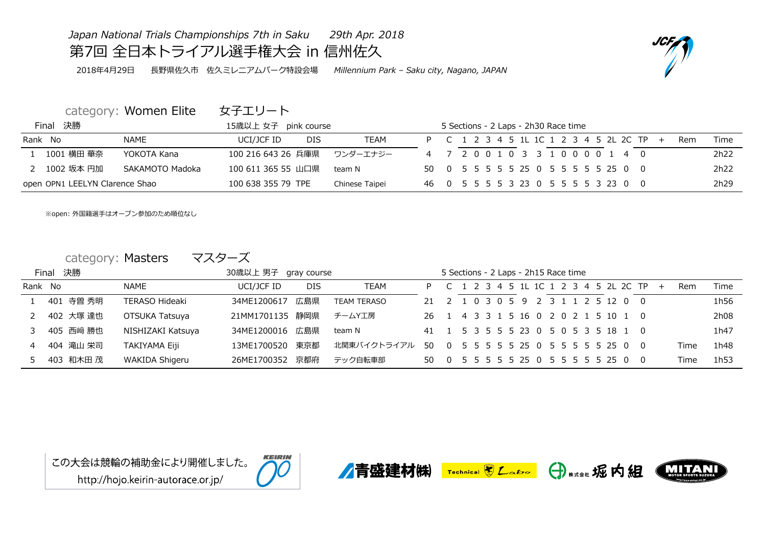## *Japan National Trials Championships 7th in Saku 29th Apr. 2018* 第7回 全日本トライアル選手権大会 in 信州佐久

2018年4月29日 長野県佐久市 佐久ミレニアムパーク特設会場 *Millennium Park – Saku city, Nagano, JAPAN*

## category: Women Elite 女子エリート

|         | Final 決勝                       |                 | 15歳以上 女子 pink course     |                |  | 5 Sections - 2 Laps - 2h30 Race time     |  |  |  |     |      |
|---------|--------------------------------|-----------------|--------------------------|----------------|--|------------------------------------------|--|--|--|-----|------|
| Rank No |                                | NAME            | <b>DIS</b><br>UCI/JCF ID | <b>TEAM</b>    |  | P C 1 2 3 4 5 1L 1C 1 2 3 4 5 2L 2C TP + |  |  |  | Rem | Time |
|         | 1 1001 横田 華奈                   | YOKOTA Kana     | 100 216 643 26 兵庫県       | ワンダーエナジー       |  | 4 7 2 0 0 1 0 3 3 1 0 0 0 0 1 4 0        |  |  |  |     | 2h22 |
|         | 2  1002 坂本 円加                  | SAKAMOTO Madoka | 100 611 365 55 山口県       | team N         |  | 50 0 5 5 5 5 5 25 0 5 5 5 5 5 25 0 0     |  |  |  |     | 2h22 |
|         | open OPN1 LEELYN Clarence Shao |                 | 100 638 355 79 TPE       | Chinese Taipei |  | 46 0 5 5 5 5 3 23 0 5 5 5 5 3 23 0 0     |  |  |  |     | 2h29 |

※open: 外国籍選手はオープン参加のため順位なし

## category: Masters マスターズ

|         | Final 決勝    |                       | 30歳以上 男子 gray course |      |             |                                      | 5 Sections - 2 Laps - 2h15 Race time |  |  |  |  |                                          |  |      |      |
|---------|-------------|-----------------------|----------------------|------|-------------|--------------------------------------|--------------------------------------|--|--|--|--|------------------------------------------|--|------|------|
| Rank No |             | NAME                  | UCI/JCF ID           | DIS. | <b>TEAM</b> |                                      |                                      |  |  |  |  | P C 1 2 3 4 5 1L 1C 1 2 3 4 5 2L 2C TP + |  | Rem  | Time |
|         | 1 401 寺曽 秀明 | <b>TERASO Hideaki</b> | 34ME1200617          | 広島県  | TEAM TERASO | 21 2 1 0 3 0 5 9 2 3 1 1 2 5 12 0 0  |                                      |  |  |  |  |                                          |  |      | 1h56 |
|         | 2 402 大塚 達也 | OTSUKA Tatsuya        | 21MM1701135 静岡県      |      | チームY工房      | 26 1 4 3 3 1 5 16 0 2 0 2 1 5 10 1 0 |                                      |  |  |  |  |                                          |  |      | 2h08 |
|         | 3 405 西﨑 勝也 | NISHIZAKI Katsuya     | 34ME1200016 広島県      |      | team N      | 41 1 5 3 5 5 5 23 0 5 0 5 3 5 18 1 0 |                                      |  |  |  |  |                                          |  |      | 1h47 |
|         | 4 404 滝山 栄司 | <b>TAKIYAMA Eiji</b>  | 13ME1700520          | 東京都  | 北関東バイクトライアル | 50                                   |                                      |  |  |  |  | 0 5 5 5 5 5 25 0 5 5 5 5 5 25 0 0        |  | Time | 1h48 |
|         | 5 403 和木田 茂 | <b>WAKIDA Shigeru</b> | 26ME1700352 京都府      |      | テック自転車部     | 50 0 5 5 5 5 5 25 0 5 5 5 5 5 25 0 0 |                                      |  |  |  |  |                                          |  | Time | 1h53 |









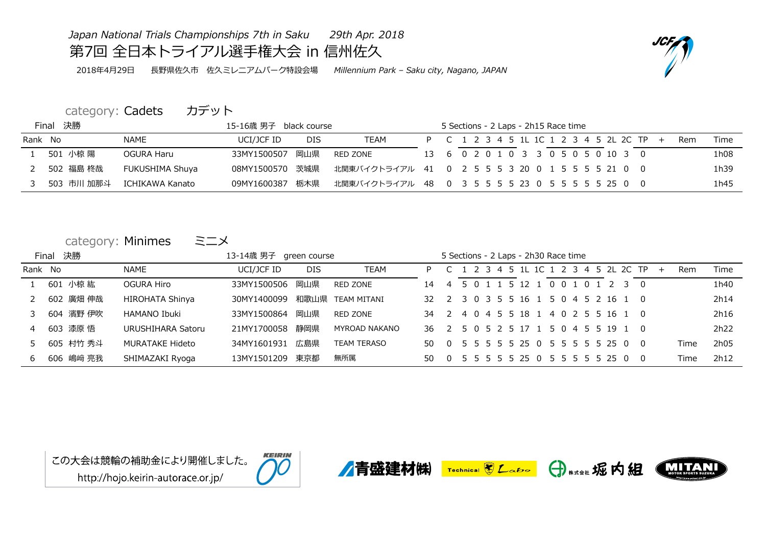## *Japan National Trials Championships 7th in Saku 29th Apr. 2018*

第7回 全日本トライアル選手権大会 in 信州佐久

2018年4月29日 長野県佐久市 佐久ミレニアムパーク特設会場 *Millennium Park – Saku city, Nagano, JAPAN*

## category: Cadets カデット

|         | Final 決勝 |            |                 | 15-16歳 男子 black course |            |                                                  |  | 5 Sections - 2 Laps - 2h15 Race time     |  |  |  |  |  |            |      |
|---------|----------|------------|-----------------|------------------------|------------|--------------------------------------------------|--|------------------------------------------|--|--|--|--|--|------------|------|
| Rank No |          |            | <b>NAME</b>     | UCI/JCF ID             | <b>DIS</b> | <b>TEAM</b>                                      |  | P C 1 2 3 4 5 1L 1C 1 2 3 4 5 2L 2C TP + |  |  |  |  |  | <b>Rem</b> | Time |
|         |          | 501 小椋 陽   | OGURA Haru      | 33MY1500507            | 岡山県        | RED ZONE                                         |  | 13 6 0 2 0 1 0 3 3 0 5 0 5 0 10 3 0      |  |  |  |  |  |            | 1h08 |
| 2       |          | 502 福島 柊哉  | FUKUSHIMA Shuya | 08MY1500570 茨城県        |            | 北関東バイクトライアル 41 0 2 5 5 5 3 20 0 1 5 5 5 5 21 0 0 |  |                                          |  |  |  |  |  |            | 1h39 |
|         |          | 503 市川 加那斗 | ICHIKAWA Kanato | 09MY1600387            | 栃木県        | 北関東バイクトライアル 48 0 3 5 5 5 5 23 0 5 5 5 5 5 25 0 0 |  |                                          |  |  |  |  |  |            | 1h45 |

| category: Minimes |  | ミニメ |
|-------------------|--|-----|
|-------------------|--|-----|

|               | Final 決勝 |           |                        | 13-14歳 男子 green course |            |                      |                                      | 5 Sections - 2 Laps - 2h30 Race time |  |  |  |  |                                   |     |     |      |      |
|---------------|----------|-----------|------------------------|------------------------|------------|----------------------|--------------------------------------|--------------------------------------|--|--|--|--|-----------------------------------|-----|-----|------|------|
| Rank No       |          |           | <b>NAME</b>            | UCI/JCF ID             | <b>DIS</b> | <b>TEAM</b>          | P.                                   |                                      |  |  |  |  | 2 3 4 5 1L 1C 1 2 3 4 5 2L 2C TP  |     | $+$ | Rem  | Time |
|               |          | 601 小椋 紘  | <b>OGURA Hiro</b>      | 33MY1500506            | 岡山県        | RED ZONE             | 14                                   | 4                                    |  |  |  |  | 5 0 1 1 5 12 1 0 0 1 0 1 2 3 0    |     |     |      | 1h40 |
| 2             |          | 602 廣畑 伸哉 | <b>HIROHATA Shinya</b> | 30MY1400099            |            | 和歌山県 TEAM MITANI     | 32 F                                 |                                      |  |  |  |  | 2 3 0 3 5 5 16 1 5 0 4 5 2 16 1 0 |     |     |      | 2h14 |
| $\mathcal{B}$ |          | 604 濱野 伊吹 | <b>HAMANO Ibuki</b>    | 33MY1500864            | 岡山県        | RED ZONE             | 34 2 4 0 4 5 5 18 1 4 0 2 5 5 16 1 0 |                                      |  |  |  |  |                                   |     |     |      | 2h16 |
| 4             |          | 603 漆原 悟  | URUSHIHARA Satoru      | 21MY1700058            | 静岡県        | <b>MYROAD NAKANO</b> | 36 2 5 0 5 2 5 17 1 5 0 4 5 5 19 1 0 |                                      |  |  |  |  |                                   |     |     |      | 2h22 |
| 5             |          | 605 村竹 秀斗 | <b>MURATAKE Hideto</b> | 34MY1601931            | 広島県        | <b>TEAM TERASO</b>   | 50.                                  |                                      |  |  |  |  | 0 5 5 5 5 5 25 0 5 5 5 5 5 25 0 0 |     |     | Time | 2h05 |
| 6             |          | 606 嶋﨑 亮我 | SHIMAZAKI Ryoga        | 13MY1501209            | 東京都        | 無所属                  | 50.                                  |                                      |  |  |  |  | 0 5 5 5 5 5 25 0 5 5 5 5 5 25 0   | . O |     | Time | 2h12 |





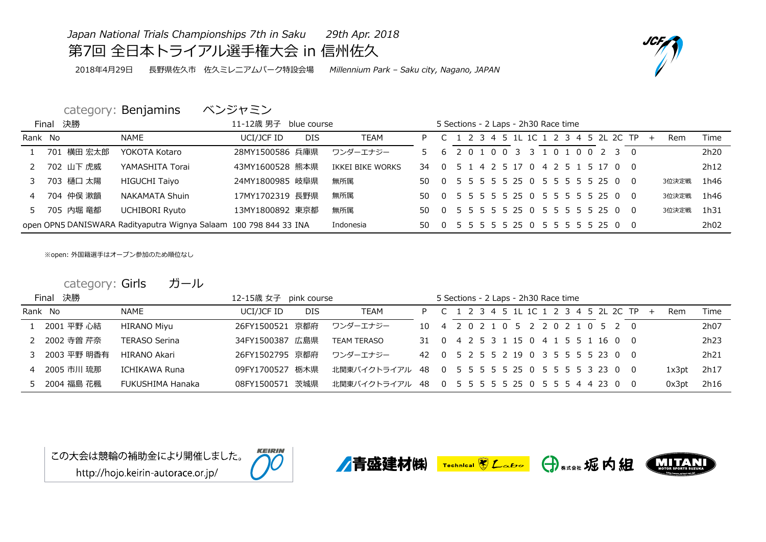## *Japan National Trials Championships 7th in Saku 29th Apr. 2018* 第7回 全日本トライアル選手権大会 in 信州佐久

2018年4月29日 長野県佐久市 佐久ミレニアムパーク特設会場 *Millennium Park – Saku city, Nagano, JAPAN*

## category: Benjamins ベンジャミン

|                | Final 決勝   |                                                                   | 11-12歳 男子 blue course |            |                  |                                      | 5 Sections - 2 Laps - 2h30 Race time |  |  |  |  |  |                                          |  |       |                  |
|----------------|------------|-------------------------------------------------------------------|-----------------------|------------|------------------|--------------------------------------|--------------------------------------|--|--|--|--|--|------------------------------------------|--|-------|------------------|
| Rank No        |            | <b>NAME</b>                                                       | UCI/JCF ID            | <b>DIS</b> | <b>TEAM</b>      |                                      |                                      |  |  |  |  |  | P C 1 2 3 4 5 1L 1C 1 2 3 4 5 2L 2C TP + |  | Rem   | Time             |
|                | 701 横田 宏太郎 | YOKOTA Kotaro                                                     | 28MY1500586 兵庫県       |            | ワンダーエナジー         |                                      |                                      |  |  |  |  |  | 5 6 2 0 1 0 0 3 3 1 0 1 0 0 2 3 0        |  |       | 2h <sub>20</sub> |
|                | 702 山下 虎威  | YAMASHITA Torai                                                   | 43MY1600528 熊本県       |            | IKKEI BIKE WORKS | 34 0 5 1 4 2 5 17 0 4 2 5 1 5 17 0 0 |                                      |  |  |  |  |  |                                          |  |       | 2h12             |
|                | 703 樋口 太陽  | <b>HIGUCHI Taiyo</b>                                              | 24MY1800985 岐阜県       |            | 無所属              | 50 0 5 5 5 5 5 25 0 5 5 5 5 5 25 0 0 |                                      |  |  |  |  |  |                                          |  | 3位決定戦 | 1h46             |
| $\overline{4}$ | 704 仲俣 漱韻  | <b>NAKAMATA Shuin</b>                                             | 17MY1702319 長野県       |            | 無所属              | 50 0 5 5 5 5 5 25 0 5 5 5 5 5 25 0 0 |                                      |  |  |  |  |  |                                          |  | 3位決定戦 | 1h46             |
| 5              | 705 内堀 竜都  | <b>UCHIBORI Ryuto</b>                                             | 13MY1800892 東京都       |            | 無所属              | 50 0 5 5 5 5 5 25 0 5 5 5 5 5 25 0 0 |                                      |  |  |  |  |  |                                          |  | 3位決定戦 | 1h31             |
|                |            | open OPN5 DANISWARA Radityaputra Wignya Salaam 100 798 844 33 INA |                       |            | Indonesia        | 50 0 5 5 5 5 5 25 0 5 5 5 5 5 25 0 0 |                                      |  |  |  |  |  |                                          |  |       | 2h02             |

※open: 外国籍選手はオープン参加のため順位なし

category: Girls ガール

|                | Final 決勝      |                      | 12-15歳 女子 pink course |            |                                                  |  |  | 5 Sections - 2 Laps - 2h30 Race time |  |  |  |                                          |  |       |      |
|----------------|---------------|----------------------|-----------------------|------------|--------------------------------------------------|--|--|--------------------------------------|--|--|--|------------------------------------------|--|-------|------|
|                | Rank No       | <b>NAME</b>          | UCI/JCF ID            | <b>DIS</b> | TEAM                                             |  |  |                                      |  |  |  | P C 1 2 3 4 5 1L 1C 1 2 3 4 5 2L 2C TP + |  | Rem   | Time |
|                | 1 2001 平野 心結  | <b>HIRANO Miyu</b>   | 26FY1500521 京都府       |            | ワンダーエナジー                                         |  |  |                                      |  |  |  | 10 4 2 0 2 1 0 5 2 2 0 2 1 0 5 2 0       |  |       | 2h07 |
|                | 2 2002 寺曽 芹奈  | <b>TERASO Serina</b> | 34FY1500387 広島県       |            | <b>TEAM TERASO</b>                               |  |  |                                      |  |  |  | 31 0 4 2 5 3 1 15 0 4 1 5 5 1 16 0 0     |  |       | 2h23 |
|                | 3 2003 平野 明香有 | HIRANO Akari         | 26FY1502795 京都府       |            | ワンダーエナジー                                         |  |  |                                      |  |  |  | 42 0 5 2 5 5 2 19 0 3 5 5 5 5 23 0 0     |  |       | 2h21 |
| $\overline{4}$ | 2005 市川 琉那    | ICHIKAWA Runa        | 09FY1700527           | 栃木県        | 北関東バイクトライアル 48 0 5 5 5 5 5 25 0 5 5 5 5 3 23 0 0 |  |  |                                      |  |  |  |                                          |  | 1x3pt | 2h17 |
|                | 5 2004 福島 花楓  | FUKUSHIMA Hanaka     | 08FY1500571 茨城県       |            | 北関東バイクトライアル 48 0 5 5 5 5 5 25 0 5 5 5 4 4 23 0 0 |  |  |                                      |  |  |  |                                          |  | 0x3pt | 2h16 |